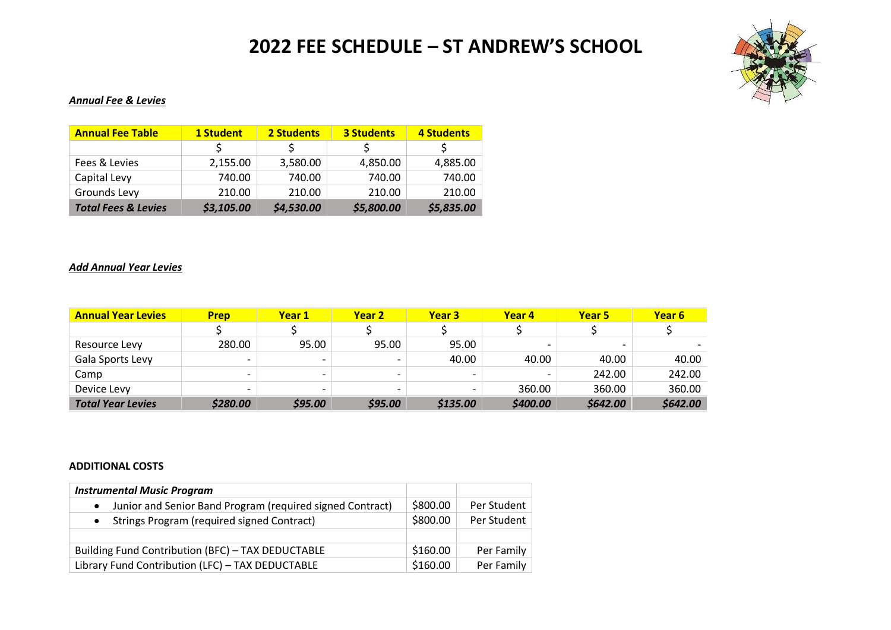# **2022 FEE SCHEDULE – ST ANDREW'S SCHOOL**



### *Annual Fee & Levies*

| <b>Annual Fee Table</b>        | 1 Student  | 2 Students | <b>3 Students</b> | 4 Students |  |
|--------------------------------|------------|------------|-------------------|------------|--|
|                                |            |            |                   |            |  |
| Fees & Levies                  | 2,155.00   | 3,580.00   | 4,850.00          | 4,885.00   |  |
| Capital Levy                   | 740.00     | 740.00     | 740.00            | 740.00     |  |
| Grounds Levy                   | 210.00     | 210.00     | 210.00            | 210.00     |  |
| <b>Total Fees &amp; Levies</b> | \$3,105.00 | \$4,530.00 | \$5,800.00        | \$5,835.00 |  |

#### *Add Annual Year Levies*

| <b>Annual Year Levies</b> | <b>Prep</b>              | Year 1                   | Year 2                   | Year 3                   | Year 4                   | Year 5   | Year 6   |
|---------------------------|--------------------------|--------------------------|--------------------------|--------------------------|--------------------------|----------|----------|
|                           |                          |                          |                          |                          |                          |          |          |
| Resource Levy             | 280.00                   | 95.00                    | 95.00                    | 95.00                    | $\overline{\phantom{0}}$ |          |          |
| Gala Sports Levy          | $\overline{\phantom{0}}$ |                          | $\overline{\phantom{a}}$ | 40.00                    | 40.00                    | 40.00    | 40.00    |
| Camp                      | $\overline{\phantom{0}}$ |                          | $\overline{\phantom{0}}$ | $\overline{\phantom{0}}$ |                          | 242.00   | 242.00   |
| Device Levy               | $\overline{\phantom{0}}$ | $\overline{\phantom{0}}$ | $\overline{\phantom{0}}$ |                          | 360.00                   | 360.00   | 360.00   |
| <b>Total Year Levies</b>  | \$280.00                 | \$95.00                  | \$95.00                  | \$135.00                 | \$400.00                 | \$642.00 | \$642.00 |

#### **ADDITIONAL COSTS**

| <b>Instrumental Music Program</b>                              |          |             |
|----------------------------------------------------------------|----------|-------------|
| Junior and Senior Band Program (required signed Contract)      | \$800.00 | Per Student |
| <b>Strings Program (required signed Contract)</b><br>$\bullet$ | \$800.00 | Per Student |
| Building Fund Contribution (BFC) - TAX DEDUCTABLE              | \$160.00 | Per Family  |
| Library Fund Contribution (LFC) - TAX DEDUCTABLE               | \$160.00 | Per Family  |